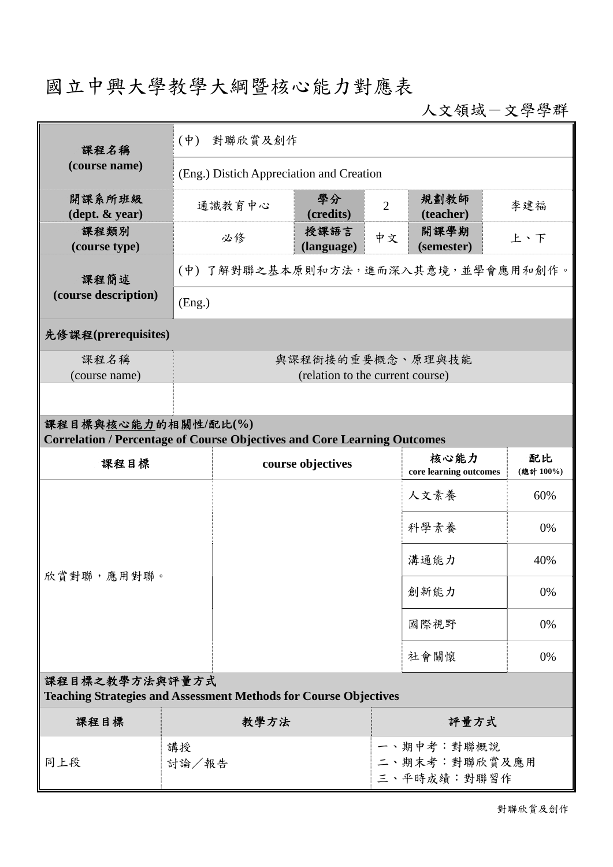## 國立中興大學教學大綱暨核心能力對應表

人文領域-文學學群

| 課程名稱<br>(course name)                                                                                  | 對聯欣賞及創作<br>$(\phi)$                      |                                                      |                    |                |                                            |                 |  |
|--------------------------------------------------------------------------------------------------------|------------------------------------------|------------------------------------------------------|--------------------|----------------|--------------------------------------------|-----------------|--|
|                                                                                                        | (Eng.) Distich Appreciation and Creation |                                                      |                    |                |                                            |                 |  |
| 開課系所班級<br>$(\text{dept. } \& \text{ year})$                                                            |                                          | 通識教育中心                                               | 學分<br>(credits)    | $\overline{2}$ | 規劃教師<br>(teacher)                          | 李建福             |  |
| 課程類別<br>(course type)                                                                                  |                                          | 必修                                                   | 授課語言<br>(language) | 中文             | 開課學期<br>(semester)                         | 上、下             |  |
| 課程簡述<br>(course description)                                                                           | (中) 了解對聯之基本原則和方法,進而深入其意境,並學會應用和創作。       |                                                      |                    |                |                                            |                 |  |
|                                                                                                        | (Eng.)                                   |                                                      |                    |                |                                            |                 |  |
| 先修課程(prerequisites)                                                                                    |                                          |                                                      |                    |                |                                            |                 |  |
| 課程名稱<br>(course name)                                                                                  |                                          | 與課程銜接的重要概念、原理與技能<br>(relation to the current course) |                    |                |                                            |                 |  |
|                                                                                                        |                                          |                                                      |                    |                |                                            |                 |  |
| 課程目標與核心能力的相關性/配比(%)<br><b>Correlation / Percentage of Course Objectives and Core Learning Outcomes</b> |                                          |                                                      |                    |                |                                            |                 |  |
| 課程目標                                                                                                   |                                          |                                                      | course objectives  |                | 核心能力<br>core learning outcomes             | 配比<br>(總計 100%) |  |
|                                                                                                        |                                          |                                                      |                    |                | 人文素養                                       | 60%             |  |
|                                                                                                        |                                          |                                                      |                    |                | 科學素養                                       | 0%              |  |
| 欣賞對聯,應用對聯。                                                                                             |                                          |                                                      |                    |                | 溝通能力                                       | 40%             |  |
|                                                                                                        |                                          |                                                      |                    |                | 創新能力                                       | 0%              |  |
|                                                                                                        |                                          |                                                      |                    |                | 國際視野                                       | 0%              |  |
|                                                                                                        |                                          |                                                      |                    |                | 社會關懷                                       | 0%              |  |
| 課程目標之教學方法與評量方式<br><b>Teaching Strategies and Assessment Methods for Course Objectives</b>              |                                          |                                                      |                    |                |                                            |                 |  |
| 課程目標                                                                                                   |                                          | 教學方法                                                 |                    |                | 評量方式                                       |                 |  |
| 同上段                                                                                                    | 講授                                       | 討論/報告                                                |                    |                | 一、期中考:對聯概說<br>二、期末考:對聯欣賞及應用<br>三、平時成績:對聯習作 |                 |  |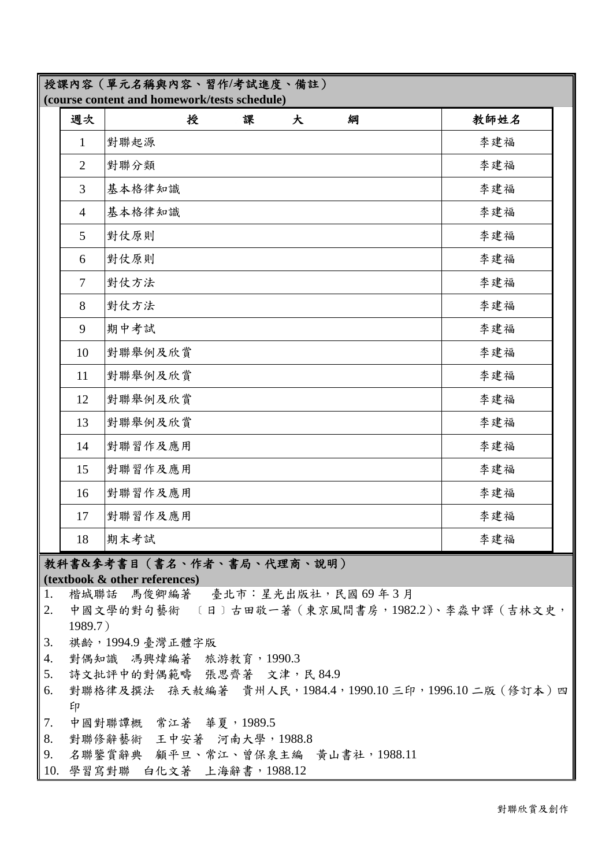## 授課內容(單元名稱與內容、習作**/**考試進度、備註) **(course content and homework/tests schedule)**  週次 授課大綱 教師姓名 1 對聯起源 キューマン インタントランド かんしゃ おおとこ かいしゃ かいしゃ あまま あまま かいしょう かいしょう かいしょう かいしょう かいしょう かいしょう 2 對聯分類 李建福 3 基本格律知識 李建福 4 基本格律知識 李建福 5 對仗原則 李建福 6 對仗原則 李建福 7 對仗方法 しょうしゃ しゅうしゃ しゅうしゃ かいしゃ かいしょう 李建福 8 對仗方法 李建福 9 期中考試 李建福 10 對聯舉例及欣賞 李建福 11 對聯舉例及欣賞 ファイン・ファイル ファイル かんしょう つうりょう 李建福 12 對聯舉例及欣賞 李建福 13 對聯舉例及欣賞 李建福 14 對聯習作及應用 あいしん かんしゃ かんしゃ かんしゃ あいちょう あいきょう 李建福 15 對聯習作及應用 李建福 16 對聯習作及應用 李建福 17 刘 對聯習作及應用 おおし おおし かいしん かいしょう かいしょう かいきょう あまい あまいち あまい あまい あまい かんきょう 18 期末考試 おおおし かんじょう かんじゅつ かんじょう かんきょう かいちょう 李建福 教科書**&**參考書目(書名、作者、書局、代理商、說明) **(textbook & other references)** 1. 楷城聯話 馬俊卿編著 臺北市:星光出版社,民國 69年3月 2. 中國文學的對句藝術 ﹝日﹞古田敬一著(東京風間書房,1982.2)、李淼中譯(吉林文史, 1989.7) 3. 祺齡,1994.9 臺灣正體字版 4. 對偶知識 馮興煒編著 旅游教育,1990.3 5. 詩文批評中的對偶範疇 張思齊著 文津,民 84.9 6. 對聯格律及撰法 孫天赦編著 貴州人民,1984.4,1990.10 三印,1996.10 二版(修訂本)四 印 7. 中國對聯譚概 常江著 華夏,1989.5

- 8. 對聯修辭藝術 王中安著 河南大學,1988.8
- 9. 名聯鑒賞辭典 顧平旦、常江、曾保泉主編 黃山書社,1988.11
- 10. 學習寫對聯 白化文著 上海辭書,1988.12